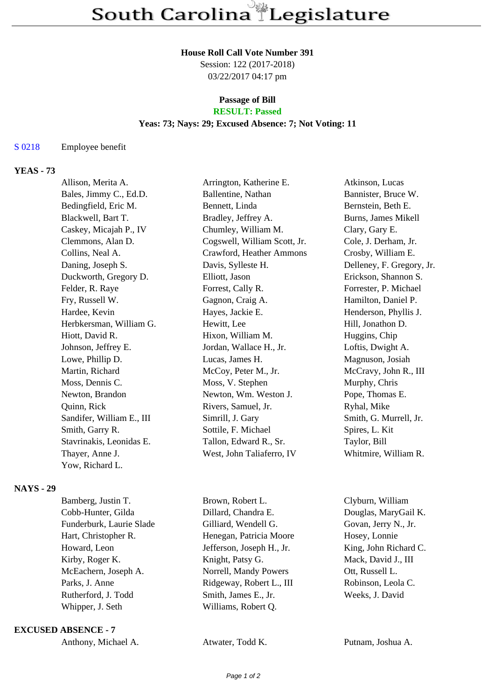## **House Roll Call Vote Number 391**

Session: 122 (2017-2018) 03/22/2017 04:17 pm

### **Passage of Bill RESULT: Passed**

## **Yeas: 73; Nays: 29; Excused Absence: 7; Not Voting: 11**

## S 0218 Employee benefit

# **YEAS - 73**

| Allison, Merita A.        | Arrington, Katherine E.      | Atkinson, Lucas           |
|---------------------------|------------------------------|---------------------------|
| Bales, Jimmy C., Ed.D.    | Ballentine, Nathan           | Bannister, Bruce W.       |
| Bedingfield, Eric M.      | Bennett, Linda               | Bernstein, Beth E.        |
| Blackwell, Bart T.        | Bradley, Jeffrey A.          | Burns, James Mikell       |
| Caskey, Micajah P., IV    | Chumley, William M.          | Clary, Gary E.            |
| Clemmons, Alan D.         | Cogswell, William Scott, Jr. | Cole, J. Derham, Jr.      |
| Collins, Neal A.          | Crawford, Heather Ammons     | Crosby, William E.        |
| Daning, Joseph S.         | Davis, Sylleste H.           | Delleney, F. Gregory, Jr. |
| Duckworth, Gregory D.     | Elliott, Jason               | Erickson, Shannon S.      |
| Felder, R. Raye           | Forrest, Cally R.            | Forrester, P. Michael     |
| Fry, Russell W.           | Gagnon, Craig A.             | Hamilton, Daniel P.       |
| Hardee, Kevin             | Hayes, Jackie E.             | Henderson, Phyllis J.     |
| Herbkersman, William G.   | Hewitt, Lee                  | Hill, Jonathon D.         |
| Hiott, David R.           | Hixon, William M.            | Huggins, Chip             |
| Johnson, Jeffrey E.       | Jordan, Wallace H., Jr.      | Loftis, Dwight A.         |
| Lowe, Phillip D.          | Lucas, James H.              | Magnuson, Josiah          |
| Martin, Richard           | McCoy, Peter M., Jr.         | McCravy, John R., III     |
| Moss, Dennis C.           | Moss, V. Stephen             | Murphy, Chris             |
| Newton, Brandon           | Newton, Wm. Weston J.        | Pope, Thomas E.           |
| Quinn, Rick               | Rivers, Samuel, Jr.          | Ryhal, Mike               |
| Sandifer, William E., III | Simrill, J. Gary             | Smith, G. Murrell, Jr.    |
| Smith, Garry R.           | Sottile, F. Michael          | Spires, L. Kit            |
| Stavrinakis, Leonidas E.  | Tallon, Edward R., Sr.       | Taylor, Bill              |
| Thayer, Anne J.           | West, John Taliaferro, IV    | Whitmire, William R.      |
| Yow, Richard L.           |                              |                           |

### **NAYS - 29**

| Bamberg, Justin T.       | Brown, Robert L.          | Clyburn, William      |
|--------------------------|---------------------------|-----------------------|
| Cobb-Hunter, Gilda       | Dillard, Chandra E.       | Douglas, MaryGail K.  |
| Funderburk, Laurie Slade | Gilliard, Wendell G.      | Govan, Jerry N., Jr.  |
| Hart, Christopher R.     | Henegan, Patricia Moore   | Hosey, Lonnie         |
| Howard, Leon             | Jefferson, Joseph H., Jr. | King, John Richard C. |
| Kirby, Roger K.          | Knight, Patsy G.          | Mack, David J., III   |
| McEachern, Joseph A.     | Norrell, Mandy Powers     | Ott, Russell L.       |
| Parks, J. Anne           | Ridgeway, Robert L., III  | Robinson, Leola C.    |
| Rutherford, J. Todd      | Smith, James E., Jr.      | Weeks, J. David       |
| Whipper, J. Seth         | Williams, Robert Q.       |                       |
|                          |                           |                       |

### **EXCUSED ABSENCE - 7**

| Anthony, Michael A. | Atwater, Todd K. | Putnam, Joshua A. |
|---------------------|------------------|-------------------|
|---------------------|------------------|-------------------|